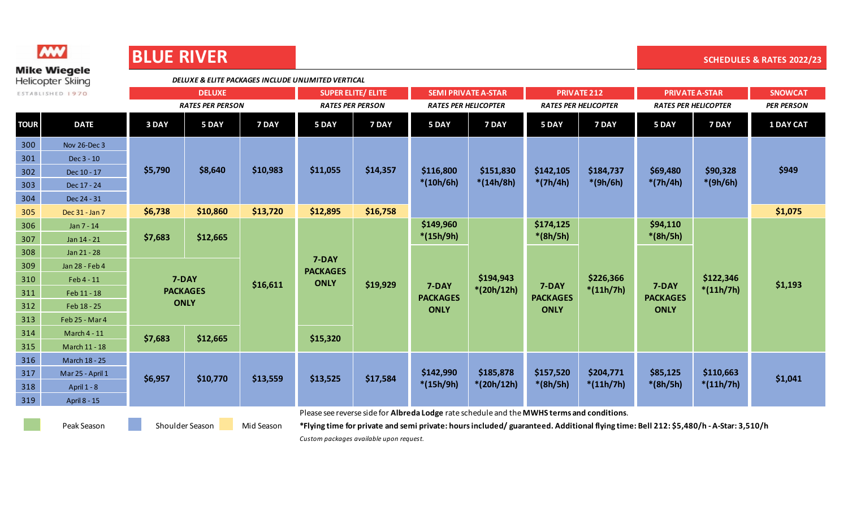| <u> Maria Alemania de San A</u>                 |                     | <b>BLUE KIVEK</b>                                  |                   |          |                                |          |                             |                           |                             |                          |                             |                          | <b>SCHEDULES &amp; RATES 2022/23</b> |
|-------------------------------------------------|---------------------|----------------------------------------------------|-------------------|----------|--------------------------------|----------|-----------------------------|---------------------------|-----------------------------|--------------------------|-----------------------------|--------------------------|--------------------------------------|
| <b>Mike Wiegele</b><br><b>Helicopter Skiing</b> |                     | DELUXE & ELITE PACKAGES INCLUDE UNLIMITED VERTICAL |                   |          |                                |          |                             |                           |                             |                          |                             |                          |                                      |
| ESTABLISHED 1970                                |                     | <b>DELUXE</b>                                      |                   |          | <b>SUPER ELITE/ ELITE</b>      |          | <b>SEMI PRIVATE A-STAR</b>  |                           | <b>PRIVATE 212</b>          |                          | <b>PRIVATE A-STAR</b>       |                          | <b>SNOWCAT</b>                       |
|                                                 |                     | <b>RATES PER PERSON</b>                            |                   |          | <b>RATES PER PERSON</b>        |          | <b>RATES PER HELICOPTER</b> |                           | <b>RATES PER HELICOPTER</b> |                          | <b>RATES PER HELICOPTER</b> |                          | <b>PER PERSON</b>                    |
| <b>TOUR</b>                                     | <b>DATE</b>         | 3 DAY                                              | 5 DAY             | 7 DAY    | 5 DAY                          | 7 DAY    | 5 DAY                       | 7 DAY                     | 5 DAY                       | 7 DAY                    | 5 DAY                       | 7 DAY                    | <b>1 DAY CAT</b>                     |
| 300                                             | <b>Nov 26-Dec 3</b> | \$5,790                                            | \$8,640           | \$10,983 | \$11,055                       | \$14,357 | \$116,800<br>$*(10h/6h)$    | \$151,830<br>$*(14h/8h)$  | \$142,105<br>$*(7h/4h)$     | \$184,737<br>$*(9h/6h)$  | \$69,480<br>$*(7h/4h)$      | \$90,328<br>$*(9h/6h)$   | \$949                                |
| 301                                             | Dec 3 - 10          |                                                    |                   |          |                                |          |                             |                           |                             |                          |                             |                          |                                      |
| 302                                             | Dec 10 - 17         |                                                    |                   |          |                                |          |                             |                           |                             |                          |                             |                          |                                      |
| 303                                             | Dec 17 - 24         |                                                    |                   |          |                                |          |                             |                           |                             |                          |                             |                          |                                      |
| 304                                             | Dec 24 - 31         |                                                    |                   |          |                                |          |                             |                           |                             |                          |                             |                          |                                      |
| 305                                             | Dec 31 - Jan 7      | \$6,738                                            | \$10,860          | \$13,720 | \$12,895                       | \$16,758 |                             |                           |                             |                          |                             |                          | \$1,075                              |
| 306                                             | Jan 7 - 14          | \$7,683                                            | \$12,665          |          | 7-DAY                          |          | \$149,960                   |                           | \$174,125                   |                          | \$94,110                    |                          |                                      |
| 307                                             | Jan 14 - 21         |                                                    |                   |          |                                |          | $*(15h/9h)$                 |                           | $*(8h/5h)$                  |                          | $*(8h/5h)$                  |                          |                                      |
| 308                                             | Jan 21 - 28         |                                                    |                   |          |                                |          |                             |                           |                             |                          |                             |                          |                                      |
| 309                                             | Jan 28 - Feb 4      |                                                    |                   |          |                                |          |                             |                           |                             |                          |                             |                          |                                      |
| 310                                             | Feb 4 - 11          |                                                    | 7-DAY<br>\$16,611 |          | <b>PACKAGES</b><br><b>ONLY</b> | \$19,929 |                             | \$194,943                 |                             | \$226,366                |                             | \$122,346                |                                      |
| 311                                             | Feb 11 - 18         |                                                    | <b>PACKAGES</b>   |          |                                |          | 7-DAY<br><b>PACKAGES</b>    | $*(20h/12h)$              | 7-DAY<br><b>PACKAGES</b>    | $*(11h/7h)$              | 7-DAY<br><b>PACKAGES</b>    | $*(11h/7h)$              | \$1,193                              |
| 312                                             | Feb 18 - 25         |                                                    | <b>ONLY</b>       |          |                                |          | <b>ONLY</b>                 |                           | <b>ONLY</b>                 |                          | <b>ONLY</b>                 |                          |                                      |
| 313                                             | Feb 25 - Mar 4      |                                                    |                   |          |                                |          |                             |                           |                             |                          |                             |                          |                                      |
| 314                                             | <b>March 4 - 11</b> | \$7,683                                            |                   |          | \$15,320                       |          |                             |                           |                             |                          |                             |                          |                                      |
| 315                                             | March 11 - 18       |                                                    | \$12,665          |          |                                |          |                             |                           |                             |                          |                             |                          |                                      |
| 316                                             | March 18 - 25       | \$6,957                                            | \$10,770          | \$13,559 | \$13,525                       | \$17,584 | \$142,990<br>$*(15h/9h)$    | \$185,878<br>$*(20h/12h)$ | \$157,520<br>$*(8h/5h)$     | \$204,771<br>$*(11h/7h)$ | \$85,125<br>$*(8h/5h)$      | \$110,663<br>$*(11h/7h)$ | \$1,041                              |
| 317                                             | Mar 25 - April 1    |                                                    |                   |          |                                |          |                             |                           |                             |                          |                             |                          |                                      |
| 318                                             | April 1 - 8         |                                                    |                   |          |                                |          |                             |                           |                             |                          |                             |                          |                                      |
| 319                                             | April 8 - 15        |                                                    |                   |          |                                |          |                             |                           |                             |                          |                             |                          |                                      |

Shoulder Season

Please see reverse side for **Albreda Lodge** rate schedule and the **MWHS terms and conditions**.

Peak Season Shoulder Season Mid Season \*Flying time for private and semi private: hours included/ guaranteed. Additional flying time: Bell 212: \$5,480/h - A-Star: 3,510/h

*Custom packages available upon request.*



**MW** 

## **BLUE BIVER**